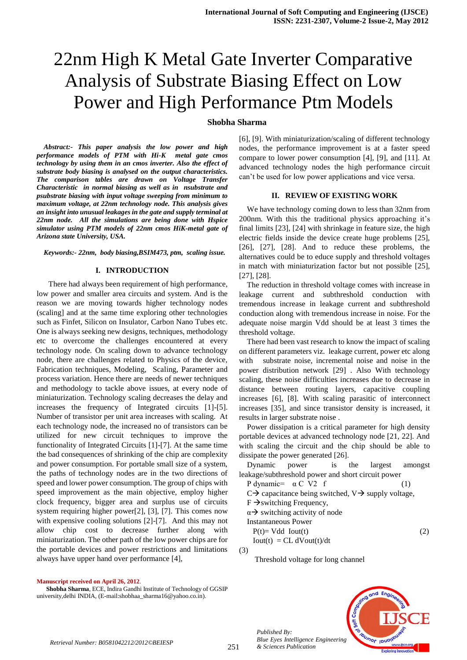# 22nm High K Metal Gate Inverter Comparative Analysis of Substrate Biasing Effect on Low Power and High Performance Ptm Models

# **Shobha Sharma**

*Abstract:- This paper analysis the low power and high performance models of PTM with Hi-K metal gate cmos technology by using them in an cmos inverter. Also the effect of substrate body biasing is analysed on the output characteristics. The comparison tables are drawn on Voltage Transfer Characteristic in normal biasing as well as in nsubstrate and psubstrate biasing with input voltage sweeping from minimum to maximum voltage, at 22nm technology node. This analysis gives an insight into unusual leakages in the gate and supply terminal at 22nm node. All the simulations are being done with Hspice simulator using PTM models of 22nm cmos HiK-metal gate of Arizona state University, USA.*

*Keywords:- 22nm, body biasing,BSIM473, ptm, scaling issue.*

#### **I. INTRODUCTION**

 There had always been requirement of high performance, low power and smaller area circuits and system. And is the reason we are moving towards higher technology nodes (scaling] and at the same time exploring other technologies such as Finfet, Silicon on Insulator, Carbon Nano Tubes etc. One is always seeking new designs, techniques, methodology etc to overcome the challenges encountered at every technology node. On scaling down to advance technology node, there are challenges related to Physics of the device, Fabrication techniques, Modeling, Scaling, Parameter and process variation. Hence there are needs of newer techniques and methodology to tackle above issues, at every node of miniaturization. Technology scaling decreases the delay and increases the frequency of Integrated circuits [1]-[5]. Number of transistor per unit area increases with scaling. At each technology node, the increased no of transistors can be utilized for new circuit techniques to improve the functionality of Integrated Circuits [1]-[7]. At the same time the bad consequences of shrinking of the chip are complexity and power consumption. For portable small size of a system, the paths of technology nodes are in the two directions of speed and lower power consumption. The group of chips with speed improvement as the main objective, employ higher clock frequency, bigger area and surplus use of circuits system requiring higher power[2], [3], [7]. This comes now with expensive cooling solutions [2]-[7]. And this may not allow chip cost to decrease further along with miniaturization. The other path of the low power chips are for the portable devices and power restrictions and limitations always have upper hand over performance [4],

[6], [9]. With miniaturization/scaling of different technology nodes, the performance improvement is at a faster speed compare to lower power consumption [4], [9], and [11]. At advanced technology nodes the high performance circuit can't be used for low power applications and vice versa.

#### **II. REVIEW OF EXISTING WORK**

We have technology coming down to less than 32nm from 200nm. With this the traditional physics approaching it's final limits [23], [24] with shrinkage in feature size, the high electric fields inside the device create huge problems [25], [26], [27], [28]. And to reduce these problems, the alternatives could be to educe supply and threshold voltages in match with miniaturization factor but not possible [25], [27], [28].

The reduction in threshold voltage comes with increase in leakage current and subthreshold conduction with tremendous increase in leakage current and subthreshold conduction along with tremendous increase in noise. For the adequate noise margin Vdd should be at least 3 times the threshold voltage.

There had been vast research to know the impact of scaling on different parameters viz. leakage current, power etc along with substrate noise, incremental noise and noise in the power distribution network [29] . Also With technology scaling, these noise difficulties increases due to decrease in distance between routing layers, capacitive coupling increases [6], [8]. With scaling parasitic of interconnect increases [35], and since transistor density is increased, it results in larger substrate noise .

Power dissipation is a critical parameter for high density portable devices at advanced technology node [21, 22]. And with scaling the circuit and the chip should be able to dissipate the power generated [26].

| Dynamic power is the largest amongst                                      |                            |  |     |
|---------------------------------------------------------------------------|----------------------------|--|-----|
| leakage/subthreshold power and short circuit power                        |                            |  |     |
| P dynamic= $\alpha$ C V2 f                                                |                            |  | (1) |
| $C\rightarrow$ capacitance being switched, $V\rightarrow$ supply voltage, |                            |  |     |
| $F \rightarrow$ switching Frequency,                                      |                            |  |     |
| $\alpha \rightarrow$ switching activity of node                           |                            |  |     |
| Instantaneous Power                                                       |                            |  |     |
| $P(t)=Vdd$ Iout(t)                                                        |                            |  |     |
|                                                                           | $Iout(t) = CL dVout(t)/dt$ |  |     |
|                                                                           |                            |  |     |

(3)

*Published By:*

Threshold voltage for long channel



#### **Manuscript received on April 26, 2012**.

**Shobha Sharma**, ECE, Indira Gandhi Institute of Technology of GGSIP university,delhi INDIA, (E-mail:shobhaa\_sharma16@yahoo.co.in).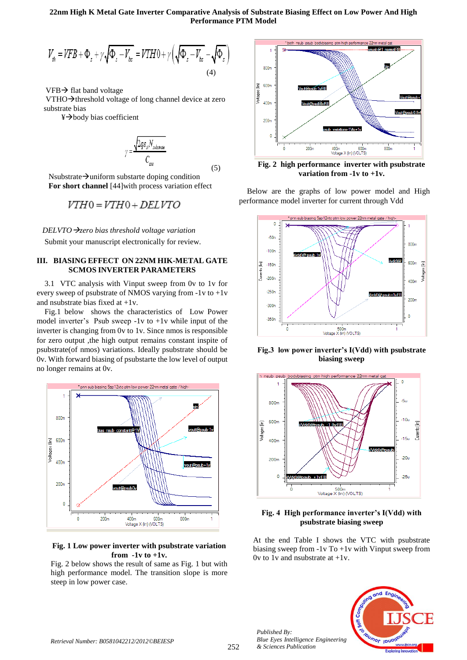#### **22nm High K Metal Gate Inverter Comparative Analysis of Substrate Biasing Effect on Low Power And High Performance PTM Model**

(5)

$$
V_{th} = VFB + \Phi_s + \gamma \sqrt{\Phi_s - V_{bs}} = VTH0 + \gamma \left(\sqrt{\Phi_s - V_{bs}} - \sqrt{\Phi_s}\right)
$$
\n(4)

 $VFB \rightarrow$  flat band voltage

VTHO $\rightarrow$ threshold voltage of long channel device at zero substrate bias

 $\frac{1}{2}$ body bias coefficient

$$
\gamma = \frac{\sqrt{2q\varepsilon_{\rm sf} N_{\rm substrate}}}{C_{\rm ave}}
$$

Nsubstrate  $\rightarrow$  uniform substarte doping condition  **For short channel** [44]with process variation effect

$$
VTH0=VTH0+DELVTO
$$

*DELVTOzero bias threshold voltage variation* Submit your manuscript electronically for review.

# **III. BIASING EFFECT ON 22NM HIK-METAL GATE SCMOS INVERTER PARAMETERS**

3.1 VTC analysis with Vinput sweep from 0v to 1v for every sweep of psubstrate of NMOS varying from -1v to +1v and nsubstrate bias fixed at +1v.

Fig.1 below shows the characteristics of Low Power model inverter's Psub sweep  $-1v$  to  $+1v$  while input of the inverter is changing from 0v to 1v. Since nmos is responsible for zero output ,the high output remains constant inspite of psubstrate(of nmos) variations. Ideally psubstrate should be 0v. With forward biasing of psubstarte the low level of output no longer remains at 0v.



## **Fig. 1 Low power inverter with psubstrate variation from -1v to +1v.**

Fig. 2 below shows the result of same as Fig. 1 but with high performance model. The transition slope is more steep in low power case.



**Fig. 2 high performance inverter with psubstrate variation from -1v to +1v.**

Below are the graphs of low power model and High performance model inverter for current through Vdd



**Fig.3 low power inverter's I(Vdd) with psubstrate biasing sweep**



# **Fig. 4 High performance inverter's I(Vdd) with psubstrate biasing sweep**

At the end Table I shows the VTC with psubstrate biasing sweep from -1v To +1v with Vinput sweep from Ov to 1v and nsubstrate at  $+1v$ .

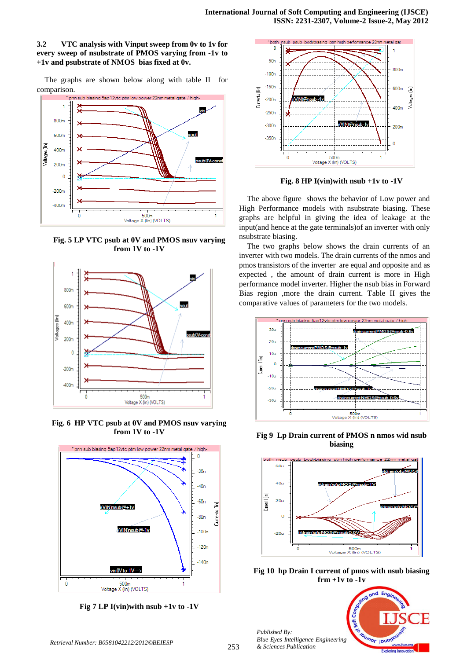# **3.2 VTC analysis with Vinput sweep from 0v to 1v for every sweep of nsubstrate of PMOS varying from -1v to +1v and psubstrate of NMOS bias fixed at 0v.**

The graphs are shown below along with table II for comparison.



**Fig. 5 LP VTC psub at 0V and PMOS nsuv varying from 1V to -1V**



**Fig. 6 HP VTC psub at 0V and PMOS nsuv varying from 1V to -1V**



**Fig 7 LP I(vin)with nsub +1v to -1V**



**Fig. 8 HP I(vin)with nsub +1v to -1V**

The above figure shows the behavior of Low power and High Performance models with nsubstrate biasing. These graphs are helpful in giving the idea of leakage at the input(and hence at the gate terminals)of an inverter with only nsubstrate biasing.

The two graphs below shows the drain currents of an inverter with two models. The drain currents of the nmos and pmos transistors of the inverter are equal and opposite and as expected , the amount of drain current is more in High performance model inverter. Higher the nsub bias in Forward Bias region ,more the drain current. Table II gives the comparative values of parameters for the two models.



**Fig 9 Lp Drain current of PMOS n nmos wid nsub biasing**



**Fig 10 hp Drain I current of pmos with nsub biasing frm +1v to -1v**

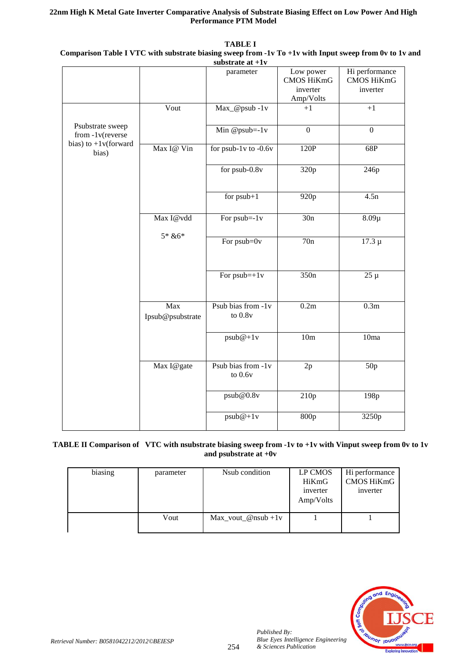# **22nm High K Metal Gate Inverter Comparative Analysis of Substrate Biasing Effect on Low Power And High Performance PTM Model**

|                                      |                         | $\frac{1}{2}$ substratum at $\pm 1$ v |                                                         |                                          |
|--------------------------------------|-------------------------|---------------------------------------|---------------------------------------------------------|------------------------------------------|
|                                      |                         | parameter                             | Low power<br><b>CMOS HiKmG</b><br>inverter<br>Amp/Volts | Hi performance<br>CMOS HiKmG<br>inverter |
|                                      | Vout                    | Max_@psub-1v                          | $+1$                                                    | $+1$                                     |
| Psubstrate sweep<br>from -1v(reverse |                         | Min @psub= $-1v$                      | $\mathbf{0}$                                            | $\theta$                                 |
| bias) to $+1$ v(forward<br>bias)     | Max I@ Vin              | for $psub-1v$ to -0.6v                | 120P                                                    | 68P                                      |
|                                      |                         | for $psub-0.8v$                       | 320p                                                    | 246p                                     |
|                                      |                         | for $psub+1$                          | 920p                                                    | 4.5n                                     |
|                                      | Max I@vdd               | For $psub = -1v$                      | 30n                                                     | $8.09\mu$                                |
|                                      | $5 * 86 *$              | For $psub = 0v$                       | 70n                                                     | $17.3 \mu$                               |
|                                      |                         | For $psub=+1v$                        | 350n                                                    | $25 \mu$                                 |
|                                      | Max<br>Ipsub@psubstrate | Psub bias from -1v<br>to $0.8v$       | 0.2m                                                    | 0.3m                                     |
|                                      |                         | $psub@+1v$                            | 10 <sub>m</sub>                                         | 10ma                                     |
|                                      | Max I@gate              | Psub bias from -1v<br>to $0.6v$       | 2p                                                      | 50p                                      |
|                                      |                         | psub@0.8v                             | 210p                                                    | 198p                                     |
|                                      |                         | $psub@+1v$                            | 800p                                                    | 3250p                                    |

**TABLE I Comparison Table I VTC with substrate biasing sweep from -1v To +1v with Input sweep from 0v to 1v and substrate at +1v**

# **TABLE II Comparison of VTC with nsubstrate biasing sweep from -1v to +1v with Vinput sweep from 0v to 1v and psubstrate at +0v**

| biasing | parameter | Nsub condition          | LP CMOS<br>HiKmG<br>inverter<br>Amp/Volts | Hi performance<br>CMOS HiKmG<br>inverter |
|---------|-----------|-------------------------|-------------------------------------------|------------------------------------------|
|         | Vout      | $Max\_vout\_@nsub + 1v$ |                                           |                                          |

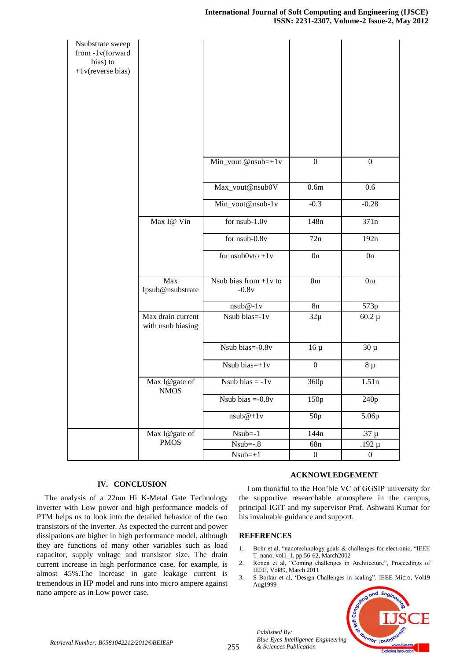| Nsubstrate sweep<br>from -1v(forward<br>bias) to<br>$+1$ v(reverse bias) |                                        |                                    |                  |                  |
|--------------------------------------------------------------------------|----------------------------------------|------------------------------------|------------------|------------------|
|                                                                          |                                        | Min_vout @nsub=+1v                 | $\boldsymbol{0}$ | $\boldsymbol{0}$ |
|                                                                          |                                        | Max_vout@nsub0V                    | 0.6 <sub>m</sub> | 0.6              |
|                                                                          |                                        | Min_vout@nsub-1v                   | $-0.3$           | $-0.28$          |
|                                                                          | Max I@ Vin                             | for nsub-1.0v                      | 148 <sub>n</sub> | 371n             |
|                                                                          |                                        | for nsub-0.8v                      | 72n              | 192n             |
|                                                                          |                                        | for $nsub0vto + 1v$                | 0n               | 0n               |
|                                                                          | Max<br>Ipsub@nsubstrate                | Nsub bias from $+1v$ to<br>$-0.8v$ | 0m               | 0m               |
|                                                                          |                                        | $nsub@-1v$                         | 8n               | 573p             |
|                                                                          | Max drain current<br>with nsub biasing | Nsub bias=-1v                      | $32\mu$          | $60.2 \mu$       |
|                                                                          |                                        | Nsub bias=-0.8v                    | $16 \mu$         | $30 \mu$         |
|                                                                          |                                        | Nsub bias= $+1v$                   | $\boldsymbol{0}$ | $8 \mu$          |
|                                                                          | Max I@gate of<br><b>NMOS</b>           | Nsub bias $= -1v$                  | 360p             | 1.51n            |
|                                                                          |                                        | Nsub bias $=-0.8v$                 | 150p             | 240 <sub>p</sub> |
|                                                                          |                                        | $nsub@+1v$                         | 50p              | 5.06p            |
|                                                                          | Max I@gate of                          | $Nsub=-1$                          | 144 <sub>n</sub> | $.37 \mu$        |
|                                                                          | <b>PMOS</b>                            | $Nsub=-.8$                         | 68 <sub>n</sub>  | .192 $\upmu$     |
|                                                                          |                                        | $Nsub=+1$                          | $\boldsymbol{0}$ | $\boldsymbol{0}$ |

# **IV. CONCLUSION**

The analysis of a 22nm Hi K-Metal Gate Technology inverter with Low power and high performance models of PTM helps us to look into the detailed behavior of the two transistors of the inverter. As expected the current and power dissipations are higher in high performance model, although they are functions of many other variables such as load capacitor, supply voltage and transistor size. The drain current increase in high performance case, for example, is almost 45%.The increase in gate leakage current is tremendous in HP model and runs into micro ampere against nano ampere as in Low power case.

#### **ACKNOWLEDGEMENT**

I am thankful to the Hon'ble VC of GGSIP university for the supportive researchable atmosphere in the campus, principal IGIT and my supervisor Prof. Ashwani Kumar for his invaluable guidance and support.

## **REFERENCES**

*Published By:*

- 1. Bohr et al, "nanotechnology goals & challenges for electronic, "IEEE T\_nano, vol1\_1, pp.56-62, March2002
- 2. Ronen et al, "Coming challenges in Architecture", Proceedings of IEEE, Vol89, March 2011
- 3. S Borkar et al, 'Design Challenges in scaling". IEEE Micro, Vol19 Aug1999